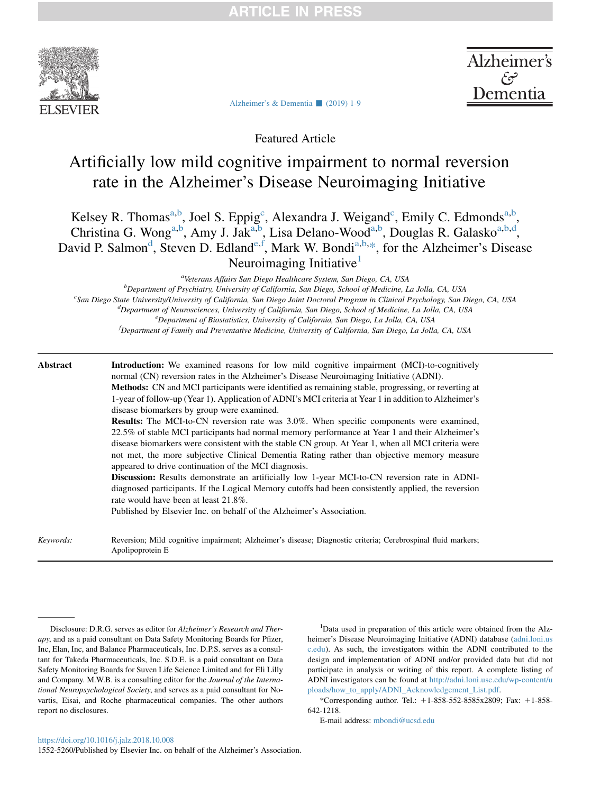

Alzheimer's Dementia

[Alzheimer's & Dementia](https://doi.org/10.1016/j.jalz.2018.10.008)  $\Box$  (2019) 1-9

Featured Article

# Artificially low mild cognitive impairment to normal reversion rate in the Alzheimer's Disease Neuroimaging Initiative

Kelsey R. Thomas<sup>a,b</sup>, Joel S. Eppig<sup>c</sup>, Alexandra J. Weigand<sup>c</sup>, Emily C. Edmonds<sup>a,b</sup>, Christina G. Wong<sup>a,b</sup>, Amy J. Jak<sup>a,b</sup>, Lisa Delano-Wood<sup>a,b</sup>, Douglas R. Galasko<sup>a,b,d</sup>, David P. Salmon<sup>d</sup>, Steven D. Edland<sup>e, f</sup>, Mark W. Bondi<sup>a,b,\*</sup>, for the Alzheimer's Disease Neuroimaging Initiative<sup>1</sup>

<sup>a</sup>Veterans Affairs San Diego Healthcare System, San Diego, CA, USA

b Department of Psychiatry, University of California, San Diego, School of Medicine, La Jolla, CA, USA<br>Can Diego, State University/University of California, San Diego, Joint Doctoral Program in Clinical Psychology, San L <sup>c</sup>San Diego State University/University of California, San Diego Joint Doctoral Program in Clinical Psychology, San Diego, CA, USA  ${}^{d}$ Department of Neurosciences, University of California, San Diego, School of Medicine, La Jolla, CA, USA <sup>e</sup> Department of Biostatistics, University of California, San Diego, La Jolla, CA, USA <sup>f</sup>Department of Family and Preventative Medicine, University of California, San Diego, La Jolla, CA, USA

## Abstract **Introduction:** We examined reasons for low mild cognitive impairment (MCI)-to-cognitively normal (CN) reversion rates in the Alzheimer's Disease Neuroimaging Initiative (ADNI). Methods: CN and MCI participants were identified as remaining stable, progressing, or reverting at 1-year of follow-up (Year 1). Application of ADNI's MCI criteria at Year 1 in addition to Alzheimer's disease biomarkers by group were examined. Results: The MCI-to-CN reversion rate was 3.0%. When specific components were examined, 22.5% of stable MCI participants had normal memory performance at Year 1 and their Alzheimer's disease biomarkers were consistent with the stable CN group. At Year 1, when all MCI criteria were not met, the more subjective Clinical Dementia Rating rather than objective memory measure appeared to drive continuation of the MCI diagnosis. Discussion: Results demonstrate an artificially low 1-year MCI-to-CN reversion rate in ADNIdiagnosed participants. If the Logical Memory cutoffs had been consistently applied, the reversion rate would have been at least 21.8%. Published by Elsevier Inc. on behalf of the Alzheimer's Association. Keywords: Reversion; Mild cognitive impairment; Alzheimer's disease; Diagnostic criteria; Cerebrospinal fluid markers; Apolipoprotein E

Disclosure: D.R.G. serves as editor for Alzheimer's Research and Therapy, and as a paid consultant on Data Safety Monitoring Boards for Pfizer, Inc, Elan, Inc, and Balance Pharmaceuticals, Inc. D.P.S. serves as a consultant for Takeda Pharmaceuticals, Inc. S.D.E. is a paid consultant on Data Safety Monitoring Boards for Suven Life Science Limited and for Eli Lilly and Company. M.W.B. is a consulting editor for the Journal of the International Neuropsychological Society, and serves as a paid consultant for Novartis, Eisai, and Roche pharmaceutical companies. The other authors report no disclosures.

<sup>1</sup>Data used in preparation of this article were obtained from the Alzheimer's Disease Neuroimaging Initiative (ADNI) database [\(adni.loni.us](http://adni.loni.usc.edu) [c.edu](http://adni.loni.usc.edu)). As such, the investigators within the ADNI contributed to the design and implementation of ADNI and/or provided data but did not participate in analysis or writing of this report. A complete listing of ADNI investigators can be found at [http://adni.loni.usc.edu/wp-content/u](http://adni.loni.usc.edu/wp-content/uploads/how_to_apply/ADNI_Acknowledgement_List.pdf) [ploads/how\\_to\\_apply/ADNI\\_Acknowledgement\\_List.pdf.](http://adni.loni.usc.edu/wp-content/uploads/how_to_apply/ADNI_Acknowledgement_List.pdf)

\*Corresponding author. Tel.:  $+1-858-552-8585x2809$ ; Fax:  $+1-858-$ 642-1218.

E-mail address: [mbondi@ucsd.edu](mailto:mbondi@ucsd.edu)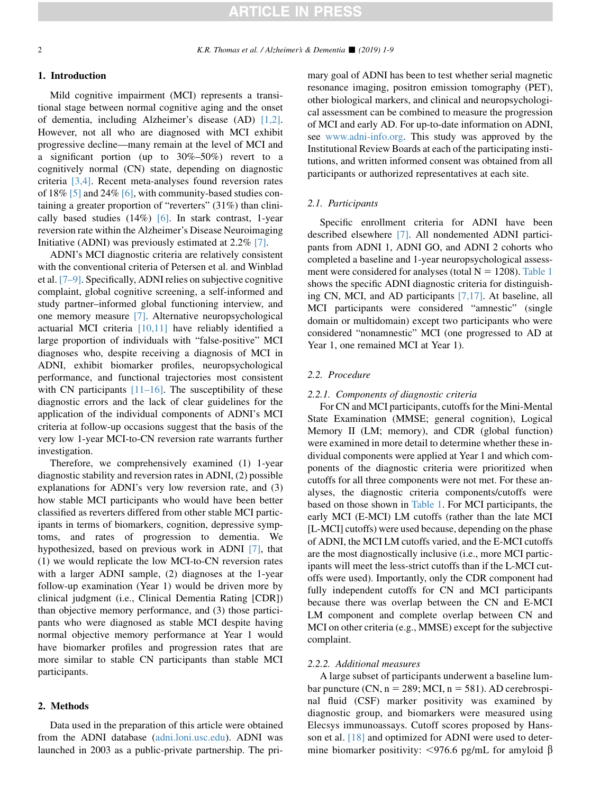#### 1. Introduction

Mild cognitive impairment (MCI) represents a transitional stage between normal cognitive aging and the onset of dementia, including Alzheimer's disease (AD) [\[1,2\].](#page-7-0) However, not all who are diagnosed with MCI exhibit progressive decline—many remain at the level of MCI and a significant portion (up to 30%–50%) revert to a cognitively normal (CN) state, depending on diagnostic criteria [\[3,4\].](#page-7-0) Recent meta-analyses found reversion rates of 18% [\[5\]](#page-8-0) and 24% [\[6\]](#page-8-0), with community-based studies containing a greater proportion of "reverters" (31%) than clinically based studies  $(14\%)$  [\[6\].](#page-8-0) In stark contrast, 1-year reversion rate within the Alzheimer's Disease Neuroimaging Initiative (ADNI) was previously estimated at 2.2% [\[7\].](#page-8-0)

ADNI's MCI diagnostic criteria are relatively consistent with the conventional criteria of Petersen et al. and Winblad et al. [\[7–9\]](#page-8-0). Specifically, ADNI relies on subjective cognitive complaint, global cognitive screening, a self-informed and study partner–informed global functioning interview, and one memory measure [\[7\]](#page-8-0). Alternative neuropsychological actuarial MCI criteria [\[10,11\]](#page-8-0) have reliably identified a large proportion of individuals with "false-positive" MCI diagnoses who, despite receiving a diagnosis of MCI in ADNI, exhibit biomarker profiles, neuropsychological performance, and functional trajectories most consistent with CN participants  $[11–16]$ . The susceptibility of these diagnostic errors and the lack of clear guidelines for the application of the individual components of ADNI's MCI criteria at follow-up occasions suggest that the basis of the very low 1-year MCI-to-CN reversion rate warrants further investigation.

Therefore, we comprehensively examined (1) 1-year diagnostic stability and reversion rates in ADNI, (2) possible explanations for ADNI's very low reversion rate, and (3) how stable MCI participants who would have been better classified as reverters differed from other stable MCI participants in terms of biomarkers, cognition, depressive symptoms, and rates of progression to dementia. We hypothesized, based on previous work in ADNI [\[7\]](#page-8-0), that (1) we would replicate the low MCI-to-CN reversion rates with a larger ADNI sample, (2) diagnoses at the 1-year follow-up examination (Year 1) would be driven more by clinical judgment (i.e., Clinical Dementia Rating [CDR]) than objective memory performance, and (3) those participants who were diagnosed as stable MCI despite having normal objective memory performance at Year 1 would have biomarker profiles and progression rates that are more similar to stable CN participants than stable MCI participants.

#### 2. Methods

Data used in the preparation of this article were obtained from the ADNI database ([adni.loni.usc.edu\)](http://adni.loni.usc.edu). ADNI was launched in 2003 as a public-private partnership. The primary goal of ADNI has been to test whether serial magnetic resonance imaging, positron emission tomography (PET), other biological markers, and clinical and neuropsychological assessment can be combined to measure the progression of MCI and early AD. For up-to-date information on ADNI, see [www.adni-info.org](http://www.adni-info.org). This study was approved by the Institutional Review Boards at each of the participating institutions, and written informed consent was obtained from all participants or authorized representatives at each site.

### 2.1. Participants

Specific enrollment criteria for ADNI have been described elsewhere [\[7\]](#page-8-0). All nondemented ADNI participants from ADNI 1, ADNI GO, and ADNI 2 cohorts who completed a baseline and 1-year neuropsychological assessment were considered for analyses (total  $N = 1208$ ). [Table 1](#page-2-0) shows the specific ADNI diagnostic criteria for distinguishing CN, MCI, and AD participants [\[7,17\].](#page-8-0) At baseline, all MCI participants were considered "amnestic" (single domain or multidomain) except two participants who were considered "nonamnestic" MCI (one progressed to AD at Year 1, one remained MCI at Year 1).

### 2.2. Procedure

#### 2.2.1. Components of diagnostic criteria

For CN and MCI participants, cutoffs for the Mini-Mental State Examination (MMSE; general cognition), Logical Memory II (LM; memory), and CDR (global function) were examined in more detail to determine whether these individual components were applied at Year 1 and which components of the diagnostic criteria were prioritized when cutoffs for all three components were not met. For these analyses, the diagnostic criteria components/cutoffs were based on those shown in [Table 1](#page-2-0). For MCI participants, the early MCI (E-MCI) LM cutoffs (rather than the late MCI [L-MCI] cutoffs) were used because, depending on the phase of ADNI, the MCI LM cutoffs varied, and the E-MCI cutoffs are the most diagnostically inclusive (i.e., more MCI participants will meet the less-strict cutoffs than if the L-MCI cutoffs were used). Importantly, only the CDR component had fully independent cutoffs for CN and MCI participants because there was overlap between the CN and E-MCI LM component and complete overlap between CN and MCI on other criteria (e.g., MMSE) except for the subjective complaint.

#### 2.2.2. Additional measures

A large subset of participants underwent a baseline lumbar puncture (CN,  $n = 289$ ; MCI,  $n = 581$ ). AD cerebrospinal fluid (CSF) marker positivity was examined by diagnostic group, and biomarkers were measured using Elecsys immunoassays. Cutoff scores proposed by Hansson et al. [\[18\]](#page-8-0) and optimized for ADNI were used to determine biomarker positivity: <976.6 pg/mL for amyloid  $\beta$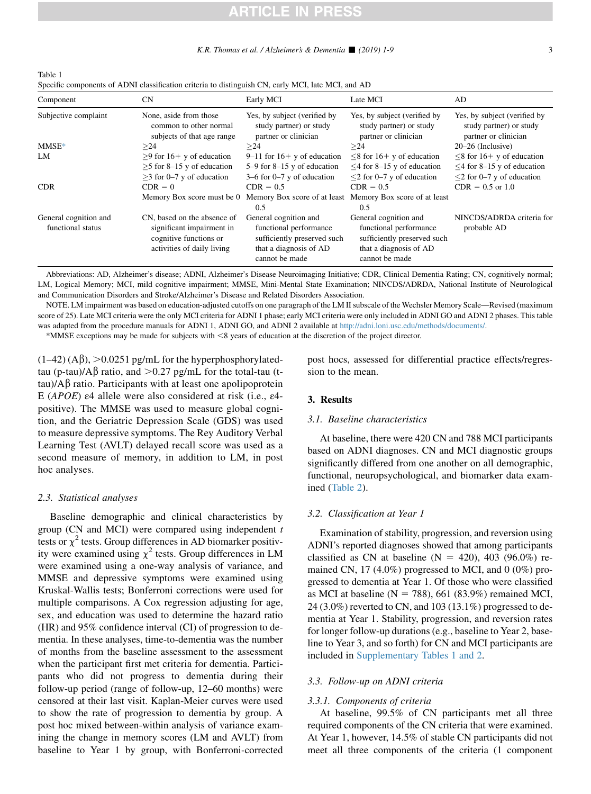## **ARTICLE IN PRESS**

<span id="page-2-0"></span>

| Table 1                                                                                            |  |
|----------------------------------------------------------------------------------------------------|--|
| Specific components of ADNI classification criteria to distinguish CN, early MCI, late MCI, and AD |  |

| Component                                  | <b>CN</b>                                                                                                        | Early MCI                                                                                                                  | Late MCI                                                                                                                   | AD.                                                                                                    |
|--------------------------------------------|------------------------------------------------------------------------------------------------------------------|----------------------------------------------------------------------------------------------------------------------------|----------------------------------------------------------------------------------------------------------------------------|--------------------------------------------------------------------------------------------------------|
| Subjective complaint                       | None, aside from those<br>common to other normal<br>subjects of that age range                                   | Yes, by subject (verified by<br>study partner) or study<br>partner or clinician                                            | Yes, by subject (verified by<br>study partner) or study<br>partner or clinician                                            | Yes, by subject (verified by<br>study partner) or study<br>partner or clinician                        |
| $MMSE*$                                    | >24                                                                                                              | >24                                                                                                                        | >24                                                                                                                        | $20-26$ (Inclusive)                                                                                    |
| LM                                         | $>9$ for 16+ y of education<br>$>5$ for 8–15 y of education<br>$>$ 3 for 0–7 y of education                      | $9-11$ for $16+$ y of education<br>$5-9$ for $8-15$ y of education<br>$3-6$ for 0-7 y of education                         | $\leq$ 8 for 16+ y of education<br>$\leq$ 4 for 8–15 y of education<br>$\leq$ 2 for 0–7 y of education                     | $\leq$ 8 for 16+ y of education<br>$\leq$ 4 for 8–15 y of education<br>$\leq$ 2 for 0–7 y of education |
| <b>CDR</b>                                 | $CDR = 0$                                                                                                        | $CDR = 0.5$                                                                                                                | $CDR = 0.5$                                                                                                                | $CDR = 0.5$ or 1.0                                                                                     |
|                                            | Memory Box score must be 0                                                                                       | Memory Box score of at least<br>0.5                                                                                        | Memory Box score of at least<br>0.5                                                                                        |                                                                                                        |
| General cognition and<br>functional status | CN, based on the absence of<br>significant impairment in<br>cognitive functions or<br>activities of daily living | General cognition and<br>functional performance<br>sufficiently preserved such<br>that a diagnosis of AD<br>cannot be made | General cognition and<br>functional performance<br>sufficiently preserved such<br>that a diagnosis of AD<br>cannot be made | NINCDS/ADRDA criteria for<br>probable AD                                                               |

Abbreviations: AD, Alzheimer's disease; ADNI, Alzheimer's Disease Neuroimaging Initiative; CDR, Clinical Dementia Rating; CN, cognitively normal; LM, Logical Memory; MCI, mild cognitive impairment; MMSE, Mini-Mental State Examination; NINCDS/ADRDA, National Institute of Neurological and Communication Disorders and Stroke/Alzheimer's Disease and Related Disorders Association.

NOTE. LM impairment was based on education-adjusted cutoffs on one paragraph of the LM II subscale of the Wechsler Memory Scale—Revised (maximum score of 25). Late MCI criteria were the only MCI criteria for ADNI 1 phase; early MCI criteria were only included in ADNI GO and ADNI 2 phases. This table was adapted from the procedure manuals for ADNI 1, ADNI GO, and ADNI 2 available at [http://adni.loni.usc.edu/methods/documents/.](http://adni.loni.usc.edu/methods/documents/)

\*MMSE exceptions may be made for subjects with <8 years of education at the discretion of the project director.

 $(1-42)$  (A $\beta$ ),  $>$ 0.0251 pg/mL for the hyperphosphorylatedtau (p-tau)/ $\mathbf{A}\beta$  ratio, and  $\mathbf{0.27}$  pg/mL for the total-tau (t $tau/AB$  ratio. Participants with at least one apolipoprotein E (APOE) ε4 allele were also considered at risk (i.e., ε4 positive). The MMSE was used to measure global cognition, and the Geriatric Depression Scale (GDS) was used to measure depressive symptoms. The Rey Auditory Verbal Learning Test (AVLT) delayed recall score was used as a second measure of memory, in addition to LM, in post hoc analyses.

#### 2.3. Statistical analyses

Baseline demographic and clinical characteristics by group (CN and MCI) were compared using independent  $t$ tests or  $\chi^2$  tests. Group differences in AD biomarker positivity were examined using  $\chi^2$  tests. Group differences in LM were examined using a one-way analysis of variance, and MMSE and depressive symptoms were examined using Kruskal-Wallis tests; Bonferroni corrections were used for multiple comparisons. A Cox regression adjusting for age, sex, and education was used to determine the hazard ratio (HR) and 95% confidence interval (CI) of progression to dementia. In these analyses, time-to-dementia was the number of months from the baseline assessment to the assessment when the participant first met criteria for dementia. Participants who did not progress to dementia during their follow-up period (range of follow-up, 12–60 months) were censored at their last visit. Kaplan-Meier curves were used to show the rate of progression to dementia by group. A post hoc mixed between-within analysis of variance examining the change in memory scores (LM and AVLT) from baseline to Year 1 by group, with Bonferroni-corrected

post hocs, assessed for differential practice effects/regression to the mean.

#### 3. Results

#### 3.1. Baseline characteristics

At baseline, there were 420 CN and 788 MCI participants based on ADNI diagnoses. CN and MCI diagnostic groups significantly differed from one another on all demographic, functional, neuropsychological, and biomarker data examined [\(Table 2](#page-3-0)).

#### 3.2. Classification at Year 1

Examination of stability, progression, and reversion using ADNI's reported diagnoses showed that among participants classified as CN at baseline (N = 420), 403 (96.0%) remained CN, 17 (4.0%) progressed to MCI, and 0 (0%) progressed to dementia at Year 1. Of those who were classified as MCI at baseline ( $N = 788$ ), 661 (83.9%) remained MCI, 24 (3.0%) reverted to CN, and 103 (13.1%) progressed to dementia at Year 1. Stability, progression, and reversion rates for longer follow-up durations (e.g., baseline to Year 2, baseline to Year 3, and so forth) for CN and MCI participants are included in [Supplementary Tables 1 and 2](#page-7-0).

#### 3.3. Follow-up on ADNI criteria

#### 3.3.1. Components of criteria

At baseline, 99.5% of CN participants met all three required components of the CN criteria that were examined. At Year 1, however, 14.5% of stable CN participants did not meet all three components of the criteria (1 component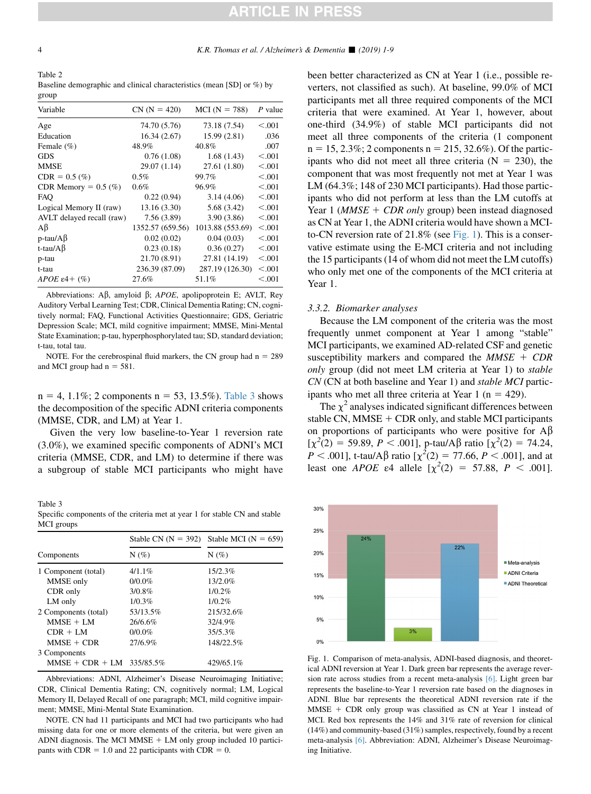<span id="page-3-0"></span>Table 2 Baseline demographic and clinical characteristics (mean [SD] or %) by group

| ு - - - -                 |                  |                  |           |
|---------------------------|------------------|------------------|-----------|
| Variable                  | $CN (N = 420)$   | $MCI(N = 788)$   | $P$ value |
| Age                       | 74.70 (5.76)     | 73.18 (7.54)     | < 0.001   |
| Education                 | 16.34(2.67)      | 15.99 (2.81)     | .036      |
| Female $(\% )$            | 48.9%            | 40.8%            | .007      |
| <b>GDS</b>                | 0.76(1.08)       | 1.68(1.43)       | < 0.001   |
| <b>MMSE</b>               | 29.07(1.14)      | 27.61 (1.80)     | < 0.001   |
| $CDR = 0.5$ (%)           | 0.5%             | 99.7%            | < 0.001   |
| CDR Memory = $0.5$ (%)    | 0.6%             | 96.9%            | < 0.001   |
| <b>FAO</b>                | 0.22(0.94)       | 3.14(4.06)       | < 0.001   |
| Logical Memory II (raw)   | 13.16(3.30)      | 5.68(3.42)       | < 0.001   |
| AVLT delayed recall (raw) | 7.56(3.89)       | 3.90 (3.86)      | < 0.001   |
| Aβ                        | 1352.57 (659.56) | 1013.88 (553.69) | < 0.001   |
| $p$ -tau/A $\beta$        | 0.02(0.02)       | 0.04(0.03)       | < 0.001   |
| t-tau/A $\beta$           | 0.23(0.18)       | 0.36(0.27)       | < 0.001   |
| p-tau                     | 21.70 (8.91)     | 27.81 (14.19)    | < 0.001   |
| t-tau                     | 236.39 (87.09)   | 287.19 (126.30)  | < 0.001   |
| APOE $\varepsilon$ 4+ (%) | 27.6%            | 51.1%            | < 0.001   |
|                           |                  |                  |           |

Abbreviations: A $\beta$ , amyloid  $\beta$ ; APOE, apolipoprotein E; AVLT, Rey Auditory Verbal Learning Test; CDR, Clinical Dementia Rating; CN, cognitively normal; FAQ, Functional Activities Questionnaire; GDS, Geriatric Depression Scale; MCI, mild cognitive impairment; MMSE, Mini-Mental State Examination; p-tau, hyperphosphorylated tau; SD, standard deviation; t-tau, total tau.

NOTE. For the cerebrospinal fluid markers, the CN group had  $n = 289$ and MCI group had  $n = 581$ .

 $n = 4, 1.1\%$ ; 2 components  $n = 53, 13.5\%$ ). Table 3 shows the decomposition of the specific ADNI criteria components (MMSE, CDR, and LM) at Year 1.

Given the very low baseline-to-Year 1 reversion rate (3.0%), we examined specific components of ADNI's MCI criteria (MMSE, CDR, and LM) to determine if there was a subgroup of stable MCI participants who might have

Table 3

Specific components of the criteria met at year 1 for stable CN and stable MCI groups

|                             | Stable CN $(N = 392)$ | Stable MCI ( $N = 659$ )<br>$N(\%)$ |  |
|-----------------------------|-----------------------|-------------------------------------|--|
| Components                  | $N(\%)$               |                                     |  |
| 1 Component (total)         | $4/1.1\%$             | $15/2.3\%$                          |  |
| MMSE only                   | $0/0.0\%$             | 13/2.0%                             |  |
| CDR only                    | 3/0.8%                | 1/0.2%                              |  |
| LM only                     | 1/0.3%                | 1/0.2%                              |  |
| 2 Components (total)        | 53/13.5%              | 215/32.6%                           |  |
| $MMSE + LM$                 | 26/6.6%               | 32/4.9%                             |  |
| $CDR + LM$                  | $0/0.0\%$             | 35/5.3%                             |  |
| $MMSE + CDR$                | 27/6.9%               | 148/22.5%                           |  |
| 3 Components                |                       |                                     |  |
| $MMSE + CDR + LM$ 335/85.5% |                       | 429/65.1%                           |  |

Abbreviations: ADNI, Alzheimer's Disease Neuroimaging Initiative; CDR, Clinical Dementia Rating; CN, cognitively normal; LM, Logical Memory II, Delayed Recall of one paragraph; MCI, mild cognitive impairment; MMSE, Mini-Mental State Examination.

NOTE. CN had 11 participants and MCI had two participants who had missing data for one or more elements of the criteria, but were given an ADNI diagnosis. The MCI MMSE  $+$  LM only group included 10 participants with CDR = 1.0 and 22 participants with CDR = 0.

been better characterized as CN at Year 1 (i.e., possible reverters, not classified as such). At baseline, 99.0% of MCI participants met all three required components of the MCI criteria that were examined. At Year 1, however, about one-third (34.9%) of stable MCI participants did not meet all three components of the criteria (1 component  $n = 15, 2.3\%$ ; 2 components  $n = 215, 32.6\%$ ). Of the participants who did not meet all three criteria  $(N = 230)$ , the component that was most frequently not met at Year 1 was LM (64.3%; 148 of 230 MCI participants). Had those participants who did not perform at less than the LM cutoffs at Year 1 ( $MMSE + CDR$  only group) been instead diagnosed as CN at Year 1, the ADNI criteria would have shown a MCIto-CN reversion rate of  $21.8\%$  (see Fig. 1). This is a conservative estimate using the E-MCI criteria and not including the 15 participants (14 of whom did not meet the LM cutoffs) who only met one of the components of the MCI criteria at Year 1.

#### 3.3.2. Biomarker analyses

Because the LM component of the criteria was the most frequently unmet component at Year 1 among "stable" MCI participants, we examined AD-related CSF and genetic susceptibility markers and compared the  $MMSE + CDR$ only group (did not meet LM criteria at Year 1) to stable CN (CN at both baseline and Year 1) and stable MCI participants who met all three criteria at Year 1 ( $n = 429$ ).

The  $\chi^2$  analyses indicated significant differences between stable CN,  $MMSE + CDR$  only, and stable MCI participants on proportions of participants who were positive for  $A\beta$  $[\chi^2(2) = 59.89, P < .001]$ , p-tau/A $\beta$  ratio  $[\chi^2(2) = 74.24,$  $P < .001$ ], t-tau/A $\beta$  ratio [ $\chi^2(2) = 77.66, P < .001$ ], and at least one *APOE*  $\varepsilon$ 4 allele  $[\chi^2(2) = 57.88, P < .001]$ .



Fig. 1. Comparison of meta-analysis, ADNI-based diagnosis, and theoretical ADNI reversion at Year 1. Dark green bar represents the average reversion rate across studies from a recent meta-analysis [\[6\].](#page-8-0) Light green bar represents the baseline-to-Year 1 reversion rate based on the diagnoses in ADNI. Blue bar represents the theoretical ADNI reversion rate if the  $MMSE$  + CDR only group was classified as CN at Year 1 instead of MCI. Red box represents the 14% and 31% rate of reversion for clinical (14%) and community-based (31%) samples, respectively, found by a recent meta-analysis [\[6\].](#page-8-0) Abbreviation: ADNI, Alzheimer's Disease Neuroimaging Initiative.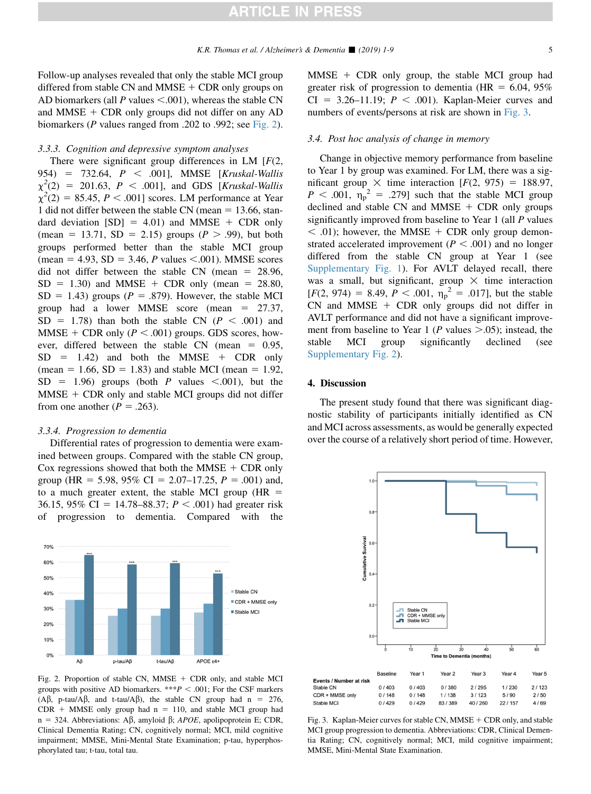Follow-up analyses revealed that only the stable MCI group differed from stable CN and MMSE  $+$  CDR only groups on AD biomarkers (all P values  $\leq$ .001), whereas the stable CN and MMSE  $+$  CDR only groups did not differ on any AD biomarkers (P values ranged from .202 to .992; see Fig. 2).

#### 3.3.3. Cognition and depressive symptom analyses

There were significant group differences in LM  $[F(2, \cdot)]$ 954) = 732.64, P < .001], MMSE [Kruskal-Wallis  $\chi^2(2) = 201.63, P < .001$ ], and GDS [*Kruskal-Wallis*  $\chi^2(2) = 85.45, P < .001$ ] scores. LM performance at Year 1 did not differ between the stable CN (mean  $= 13.66$ , standard deviation  $[SD] = 4.01$  and MMSE + CDR only (mean = 13.71, SD = 2.15) groups ( $P > .99$ ), but both groups performed better than the stable MCI group (mean = 4.93, SD = 3.46, *P* values <.001). MMSE scores did not differ between the stable CN (mean  $= 28.96$ ,  $SD = 1.30$ ) and MMSE + CDR only (mean = 28.80,  $SD = 1.43$ ) groups ( $P = .879$ ). However, the stable MCI group had a lower MMSE score (mean  $= 27.37$ ,  $SD = 1.78$ ) than both the stable CN ( $P < .001$ ) and MMSE + CDR only ( $P < .001$ ) groups. GDS scores, however, differed between the stable CN (mean  $= 0.95$ ,  $SD = 1.42$ ) and both the MMSE + CDR only (mean = 1.66, SD = 1.83) and stable MCI (mean = 1.92,  $SD = 1.96$  groups (both P values <.001), but the  $MMSE + CDR$  only and stable MCI groups did not differ from one another ( $P = .263$ ).

#### 3.3.4. Progression to dementia

Differential rates of progression to dementia were examined between groups. Compared with the stable CN group, Cox regressions showed that both the MMSE  $+$  CDR only group (HR = 5.98, 95% CI = 2.07–17.25,  $P = .001$ ) and, to a much greater extent, the stable MCI group ( $HR =$ 36.15, 95% CI = 14.78–88.37;  $P < .001$ ) had greater risk of progression to dementia. Compared with the



Fig. 2. Proportion of stable CN,  $MMSE$  + CDR only, and stable MCI groups with positive AD biomarkers. \*\*\* $P < .001$ ; For the CSF markers ( $\text{A}\beta$ , p-tau/ $\text{A}\beta$ , and t-tau/ $\text{A}\beta$ ), the stable CN group had n = 276,  $CDR + MMSE$  only group had n = 110, and stable MCI group had n = 324. Abbreviations: A $\beta$ , amyloid  $\beta$ ; APOE, apolipoprotein E; CDR, Clinical Dementia Rating; CN, cognitively normal; MCI, mild cognitive impairment; MMSE, Mini-Mental State Examination; p-tau, hyperphosphorylated tau; t-tau, total tau.

 $MMSE + CDR$  only group, the stable MCI group had greater risk of progression to dementia (HR  $= 6.04, 95\%$  $CI = 3.26-11.19$ ;  $P < .001$ ). Kaplan-Meier curves and numbers of events/persons at risk are shown in Fig. 3.

#### 3.4. Post hoc analysis of change in memory

Change in objective memory performance from baseline to Year 1 by group was examined. For LM, there was a significant group  $\times$  time interaction [F(2, 975) = 188.97,  $P < .001$ ,  $\eta_p^2 = .279$ ] such that the stable MCI group declined and stable CN and MMSE  $+$  CDR only groups significantly improved from baseline to Year 1 (all P values  $<$  .01); however, the MMSE + CDR only group demonstrated accelerated improvement ( $P < .001$ ) and no longer differed from the stable CN group at Year 1 (see [Supplementary Fig. 1](#page-7-0)). For AVLT delayed recall, there was a small, but significant, group  $\times$  time interaction  $[F(2, 974) = 8.49, P < .001, \eta_p^2 = .017]$ , but the stable  $CN$  and MMSE + CDR only groups did not differ in AVLT performance and did not have a significant improvement from baseline to Year 1 (*P* values  $> 0.05$ ); instead, the stable MCI group significantly declined (see [Supplementary Fig. 2\)](#page-7-0).

#### 4. Discussion

The present study found that there was significant diagnostic stability of participants initially identified as CN and MCI across assessments, as would be generally expected over the course of a relatively short period of time. However,



Fig. 3. Kaplan-Meier curves for stable CN,  $MMSE + CDR$  only, and stable MCI group progression to dementia. Abbreviations: CDR, Clinical Dementia Rating; CN, cognitively normal; MCI, mild cognitive impairment; MMSE, Mini-Mental State Examination.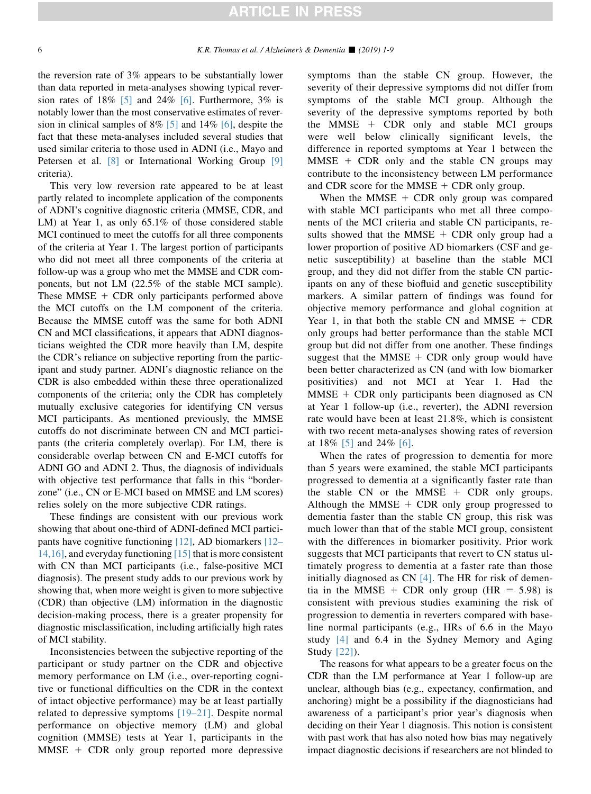## **ARTICLE IN PRESS**

the reversion rate of 3% appears to be substantially lower than data reported in meta-analyses showing typical reversion rates of  $18\%$  [\[5\]](#page-8-0) and  $24\%$  [\[6\]](#page-8-0). Furthermore,  $3\%$  is notably lower than the most conservative estimates of reversion in clinical samples of 8% [\[5\]](#page-8-0) and 14% [\[6\]](#page-8-0), despite the fact that these meta-analyses included several studies that used similar criteria to those used in ADNI (i.e., Mayo and Petersen et al. [\[8\]](#page-8-0) or International Working Group [\[9\]](#page-8-0) criteria).

This very low reversion rate appeared to be at least partly related to incomplete application of the components of ADNI's cognitive diagnostic criteria (MMSE, CDR, and LM) at Year 1, as only 65.1% of those considered stable MCI continued to meet the cutoffs for all three components of the criteria at Year 1. The largest portion of participants who did not meet all three components of the criteria at follow-up was a group who met the MMSE and CDR components, but not LM (22.5% of the stable MCI sample). These MMSE  $+$  CDR only participants performed above the MCI cutoffs on the LM component of the criteria. Because the MMSE cutoff was the same for both ADNI CN and MCI classifications, it appears that ADNI diagnosticians weighted the CDR more heavily than LM, despite the CDR's reliance on subjective reporting from the participant and study partner. ADNI's diagnostic reliance on the CDR is also embedded within these three operationalized components of the criteria; only the CDR has completely mutually exclusive categories for identifying CN versus MCI participants. As mentioned previously, the MMSE cutoffs do not discriminate between CN and MCI participants (the criteria completely overlap). For LM, there is considerable overlap between CN and E-MCI cutoffs for ADNI GO and ADNI 2. Thus, the diagnosis of individuals with objective test performance that falls in this "borderzone" (i.e., CN or E-MCI based on MMSE and LM scores) relies solely on the more subjective CDR ratings.

These findings are consistent with our previous work showing that about one-third of ADNI-defined MCI participants have cognitive functioning [\[12\],](#page-8-0) AD biomarkers [\[12–](#page-8-0) [14,16\],](#page-8-0) and everyday functioning [\[15\]](#page-8-0) that is more consistent with CN than MCI participants (i.e., false-positive MCI diagnosis). The present study adds to our previous work by showing that, when more weight is given to more subjective (CDR) than objective (LM) information in the diagnostic decision-making process, there is a greater propensity for diagnostic misclassification, including artificially high rates of MCI stability.

Inconsistencies between the subjective reporting of the participant or study partner on the CDR and objective memory performance on LM (i.e., over-reporting cognitive or functional difficulties on the CDR in the context of intact objective performance) may be at least partially related to depressive symptoms [\[19–21\].](#page-8-0) Despite normal performance on objective memory (LM) and global cognition (MMSE) tests at Year 1, participants in the  $MMSE + CDR$  only group reported more depressive symptoms than the stable CN group. However, the severity of their depressive symptoms did not differ from symptoms of the stable MCI group. Although the severity of the depressive symptoms reported by both the MMSE  $+$  CDR only and stable MCI groups were well below clinically significant levels, the difference in reported symptoms at Year 1 between the  $MMSE + CDR$  only and the stable CN groups may contribute to the inconsistency between LM performance and CDR score for the MMSE  $+$  CDR only group.

When the MMSE  $+$  CDR only group was compared with stable MCI participants who met all three components of the MCI criteria and stable CN participants, results showed that the MMSE  $+$  CDR only group had a lower proportion of positive AD biomarkers (CSF and genetic susceptibility) at baseline than the stable MCI group, and they did not differ from the stable CN participants on any of these biofluid and genetic susceptibility markers. A similar pattern of findings was found for objective memory performance and global cognition at Year 1, in that both the stable CN and MMSE  $+$  CDR only groups had better performance than the stable MCI group but did not differ from one another. These findings suggest that the MMSE  $+$  CDR only group would have been better characterized as CN (and with low biomarker positivities) and not MCI at Year 1. Had the  $MMSE + CDR$  only participants been diagnosed as CN at Year 1 follow-up (i.e., reverter), the ADNI reversion rate would have been at least 21.8%, which is consistent with two recent meta-analyses showing rates of reversion at  $18\%$  [\[5\]](#page-8-0) and  $24\%$  [\[6\]](#page-8-0).

When the rates of progression to dementia for more than 5 years were examined, the stable MCI participants progressed to dementia at a significantly faster rate than the stable CN or the MMSE  $+$  CDR only groups. Although the MMSE  $+$  CDR only group progressed to dementia faster than the stable CN group, this risk was much lower than that of the stable MCI group, consistent with the differences in biomarker positivity. Prior work suggests that MCI participants that revert to CN status ultimately progress to dementia at a faster rate than those initially diagnosed as  $CN$  [\[4\]](#page-7-0). The HR for risk of dementia in the MMSE + CDR only group (HR =  $5.98$ ) is consistent with previous studies examining the risk of progression to dementia in reverters compared with baseline normal participants (e.g., HRs of 6.6 in the Mayo study [\[4\]](#page-7-0) and 6.4 in the Sydney Memory and Aging Study [\[22\]\)](#page-8-0).

The reasons for what appears to be a greater focus on the CDR than the LM performance at Year 1 follow-up are unclear, although bias (e.g., expectancy, confirmation, and anchoring) might be a possibility if the diagnosticians had awareness of a participant's prior year's diagnosis when deciding on their Year 1 diagnosis. This notion is consistent with past work that has also noted how bias may negatively impact diagnostic decisions if researchers are not blinded to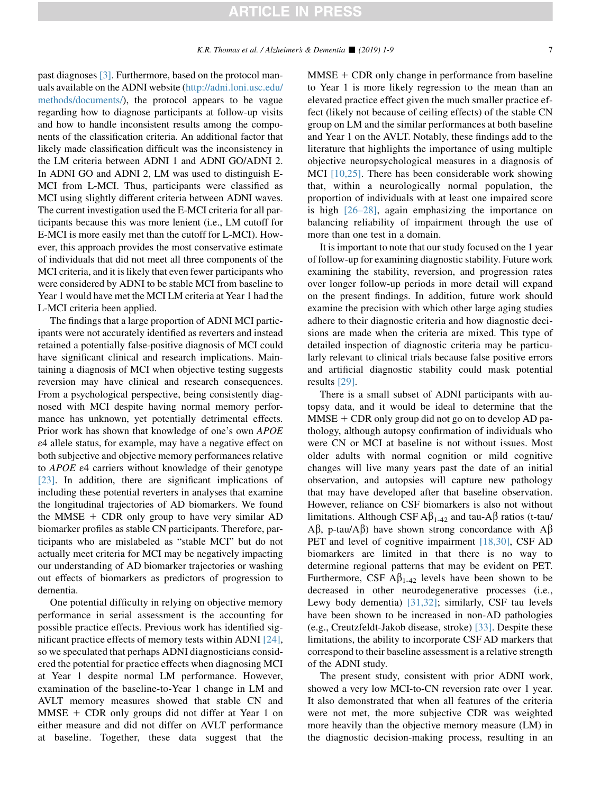past diagnoses [\[3\].](#page-7-0) Furthermore, based on the protocol manuals available on the ADNI website [\(http://adni.loni.usc.edu/](http://adni.loni.usc.edu/methods/documents/) [methods/documents/\)](http://adni.loni.usc.edu/methods/documents/), the protocol appears to be vague regarding how to diagnose participants at follow-up visits and how to handle inconsistent results among the components of the classification criteria. An additional factor that likely made classification difficult was the inconsistency in the LM criteria between ADNI 1 and ADNI GO/ADNI 2. In ADNI GO and ADNI 2, LM was used to distinguish E-MCI from L-MCI. Thus, participants were classified as MCI using slightly different criteria between ADNI waves. The current investigation used the E-MCI criteria for all participants because this was more lenient (i.e., LM cutoff for E-MCI is more easily met than the cutoff for L-MCI). However, this approach provides the most conservative estimate of individuals that did not meet all three components of the MCI criteria, and it is likely that even fewer participants who were considered by ADNI to be stable MCI from baseline to Year 1 would have met the MCI LM criteria at Year 1 had the L-MCI criteria been applied.

The findings that a large proportion of ADNI MCI participants were not accurately identified as reverters and instead retained a potentially false-positive diagnosis of MCI could have significant clinical and research implications. Maintaining a diagnosis of MCI when objective testing suggests reversion may have clinical and research consequences. From a psychological perspective, being consistently diagnosed with MCI despite having normal memory performance has unknown, yet potentially detrimental effects. Prior work has shown that knowledge of one's own APOE ε4 allele status, for example, may have a negative effect on both subjective and objective memory performances relative to APOE ε4 carriers without knowledge of their genotype [\[23\].](#page-8-0) In addition, there are significant implications of including these potential reverters in analyses that examine the longitudinal trajectories of AD biomarkers. We found the MMSE  $+$  CDR only group to have very similar AD biomarker profiles as stable CN participants. Therefore, participants who are mislabeled as "stable MCI" but do not actually meet criteria for MCI may be negatively impacting our understanding of AD biomarker trajectories or washing out effects of biomarkers as predictors of progression to dementia.

One potential difficulty in relying on objective memory performance in serial assessment is the accounting for possible practice effects. Previous work has identified significant practice effects of memory tests within ADNI [\[24\],](#page-8-0) so we speculated that perhaps ADNI diagnosticians considered the potential for practice effects when diagnosing MCI at Year 1 despite normal LM performance. However, examination of the baseline-to-Year 1 change in LM and AVLT memory measures showed that stable CN and  $MMSE + CDR$  only groups did not differ at Year 1 on either measure and did not differ on AVLT performance at baseline. Together, these data suggest that the  $MMSE + CDR$  only change in performance from baseline to Year 1 is more likely regression to the mean than an elevated practice effect given the much smaller practice effect (likely not because of ceiling effects) of the stable CN group on LM and the similar performances at both baseline and Year 1 on the AVLT. Notably, these findings add to the literature that highlights the importance of using multiple objective neuropsychological measures in a diagnosis of MCI [\[10,25\]](#page-8-0). There has been considerable work showing that, within a neurologically normal population, the proportion of individuals with at least one impaired score is high [\[26–28\],](#page-8-0) again emphasizing the importance on balancing reliability of impairment through the use of more than one test in a domain.

It is important to note that our study focused on the 1 year of follow-up for examining diagnostic stability. Future work examining the stability, reversion, and progression rates over longer follow-up periods in more detail will expand on the present findings. In addition, future work should examine the precision with which other large aging studies adhere to their diagnostic criteria and how diagnostic decisions are made when the criteria are mixed. This type of detailed inspection of diagnostic criteria may be particularly relevant to clinical trials because false positive errors and artificial diagnostic stability could mask potential results [\[29\].](#page-8-0)

There is a small subset of ADNI participants with autopsy data, and it would be ideal to determine that the  $MMSE + CDR$  only group did not go on to develop AD pathology, although autopsy confirmation of individuals who were CN or MCI at baseline is not without issues. Most older adults with normal cognition or mild cognitive changes will live many years past the date of an initial observation, and autopsies will capture new pathology that may have developed after that baseline observation. However, reliance on CSF biomarkers is also not without limitations. Although CSF  $A\beta_{1-42}$  and tau-A $\beta$  ratios (t-tau/  $A\beta$ , p-tau/ $A\beta$ ) have shown strong concordance with  $A\beta$ PET and level of cognitive impairment [\[18,30\]](#page-8-0), CSF AD biomarkers are limited in that there is no way to determine regional patterns that may be evident on PET. Furthermore, CSF  $\mathbf{A}\beta_{1-42}$  levels have been shown to be decreased in other neurodegenerative processes (i.e., Lewy body dementia) [\[31,32\];](#page-8-0) similarly, CSF tau levels have been shown to be increased in non-AD pathologies (e.g., Creutzfeldt-Jakob disease, stroke) [\[33\].](#page-8-0) Despite these limitations, the ability to incorporate CSF AD markers that correspond to their baseline assessment is a relative strength of the ADNI study.

The present study, consistent with prior ADNI work, showed a very low MCI-to-CN reversion rate over 1 year. It also demonstrated that when all features of the criteria were not met, the more subjective CDR was weighted more heavily than the objective memory measure (LM) in the diagnostic decision-making process, resulting in an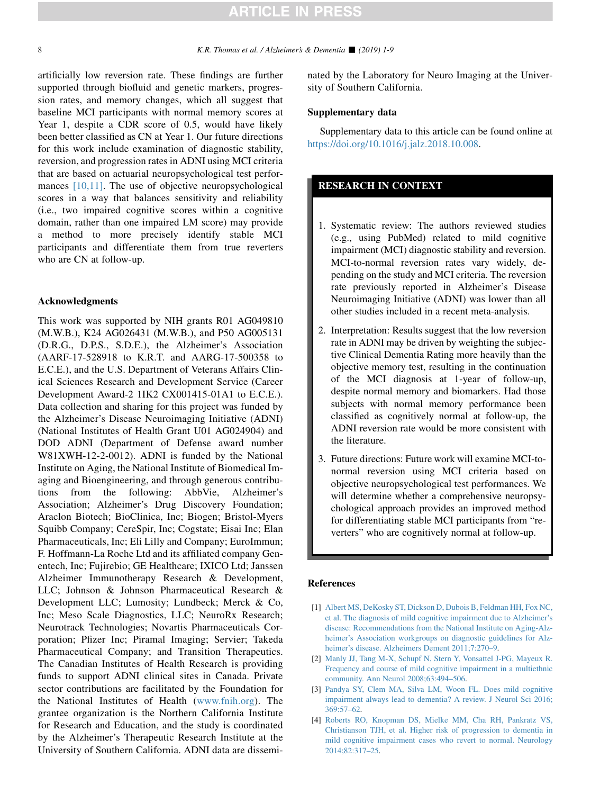<span id="page-7-0"></span>artificially low reversion rate. These findings are further supported through biofluid and genetic markers, progression rates, and memory changes, which all suggest that baseline MCI participants with normal memory scores at Year 1, despite a CDR score of 0.5, would have likely been better classified as CN at Year 1. Our future directions for this work include examination of diagnostic stability, reversion, and progression rates in ADNI using MCI criteria that are based on actuarial neuropsychological test performances [\[10,11\].](#page-8-0) The use of objective neuropsychological scores in a way that balances sensitivity and reliability (i.e., two impaired cognitive scores within a cognitive domain, rather than one impaired LM score) may provide a method to more precisely identify stable MCI participants and differentiate them from true reverters who are CN at follow-up.

#### Acknowledgments

This work was supported by NIH grants R01 AG049810 (M.W.B.), K24 AG026431 (M.W.B.), and P50 AG005131 (D.R.G., D.P.S., S.D.E.), the Alzheimer's Association (AARF-17-528918 to K.R.T. and AARG-17-500358 to E.C.E.), and the U.S. Department of Veterans Affairs Clinical Sciences Research and Development Service (Career Development Award-2 1IK2 CX001415-01A1 to E.C.E.). Data collection and sharing for this project was funded by the Alzheimer's Disease Neuroimaging Initiative (ADNI) (National Institutes of Health Grant U01 AG024904) and DOD ADNI (Department of Defense award number W81XWH-12-2-0012). ADNI is funded by the National Institute on Aging, the National Institute of Biomedical Imaging and Bioengineering, and through generous contributions from the following: AbbVie, Alzheimer's Association; Alzheimer's Drug Discovery Foundation; Araclon Biotech; BioClinica, Inc; Biogen; Bristol-Myers Squibb Company; CereSpir, Inc; Cogstate; Eisai Inc; Elan Pharmaceuticals, Inc; Eli Lilly and Company; EuroImmun; F. Hoffmann-La Roche Ltd and its affiliated company Genentech, Inc; Fujirebio; GE Healthcare; IXICO Ltd; Janssen Alzheimer Immunotherapy Research & Development, LLC; Johnson & Johnson Pharmaceutical Research & Development LLC; Lumosity; Lundbeck; Merck & Co, Inc; Meso Scale Diagnostics, LLC; NeuroRx Research; Neurotrack Technologies; Novartis Pharmaceuticals Corporation; Pfizer Inc; Piramal Imaging; Servier; Takeda Pharmaceutical Company; and Transition Therapeutics. The Canadian Institutes of Health Research is providing funds to support ADNI clinical sites in Canada. Private sector contributions are facilitated by the Foundation for the National Institutes of Health ([www.fnih.org](http://www.fnih.org)). The grantee organization is the Northern California Institute for Research and Education, and the study is coordinated by the Alzheimer's Therapeutic Research Institute at the University of Southern California. ADNI data are disseminated by the Laboratory for Neuro Imaging at the University of Southern California.

#### Supplementary data

Supplementary data to this article can be found online at [https://doi.org/10.1016/j.jalz.2018.10.008.](https://doi.org/10.1016/j.jalz.2018.10.008)

### RESEARCH IN CONTEXT

- 1. Systematic review: The authors reviewed studies (e.g., using PubMed) related to mild cognitive impairment (MCI) diagnostic stability and reversion. MCI-to-normal reversion rates vary widely, depending on the study and MCI criteria. The reversion rate previously reported in Alzheimer's Disease Neuroimaging Initiative (ADNI) was lower than all other studies included in a recent meta-analysis.
- 2. Interpretation: Results suggest that the low reversion rate in ADNI may be driven by weighting the subjective Clinical Dementia Rating more heavily than the objective memory test, resulting in the continuation of the MCI diagnosis at 1-year of follow-up, despite normal memory and biomarkers. Had those subjects with normal memory performance been classified as cognitively normal at follow-up, the ADNI reversion rate would be more consistent with the literature.
- 3. Future directions: Future work will examine MCI-tonormal reversion using MCI criteria based on objective neuropsychological test performances. We will determine whether a comprehensive neuropsychological approach provides an improved method for differentiating stable MCI participants from "reverters" who are cognitively normal at follow-up.

#### References

- [1] [Albert MS, DeKosky ST, Dickson D, Dubois B, Feldman HH, Fox NC,](http://refhub.elsevier.com/S1552-5260(18)33603-3/sref1) [et al. The diagnosis of mild cognitive impairment due to Alzheimer's](http://refhub.elsevier.com/S1552-5260(18)33603-3/sref1) [disease: Recommendations from the National Institute on Aging-Alz](http://refhub.elsevier.com/S1552-5260(18)33603-3/sref1)[heimer's Association workgroups on diagnostic guidelines for Alz](http://refhub.elsevier.com/S1552-5260(18)33603-3/sref1)[heimer's disease. Alzheimers Dement 2011;7:270–9.](http://refhub.elsevier.com/S1552-5260(18)33603-3/sref1)
- [2] [Manly JJ, Tang M-X, Schupf N, Stern Y, Vonsattel J-PG, Mayeux R.](http://refhub.elsevier.com/S1552-5260(18)33603-3/sref2) [Frequency and course of mild cognitive impairment in a multiethnic](http://refhub.elsevier.com/S1552-5260(18)33603-3/sref2) [community. Ann Neurol 2008;63:494–506.](http://refhub.elsevier.com/S1552-5260(18)33603-3/sref2)
- [3] [Pandya SY, Clem MA, Silva LM, Woon FL. Does mild cognitive](http://refhub.elsevier.com/S1552-5260(18)33603-3/sref3) [impairment always lead to dementia? A review. J Neurol Sci 2016;](http://refhub.elsevier.com/S1552-5260(18)33603-3/sref3) [369:57–62](http://refhub.elsevier.com/S1552-5260(18)33603-3/sref3).
- [4] [Roberts RO, Knopman DS, Mielke MM, Cha RH, Pankratz VS,](http://refhub.elsevier.com/S1552-5260(18)33603-3/sref4) [Christianson TJH, et al. Higher risk of progression to dementia in](http://refhub.elsevier.com/S1552-5260(18)33603-3/sref4) [mild cognitive impairment cases who revert to normal. Neurology](http://refhub.elsevier.com/S1552-5260(18)33603-3/sref4) [2014;82:317–25](http://refhub.elsevier.com/S1552-5260(18)33603-3/sref4).